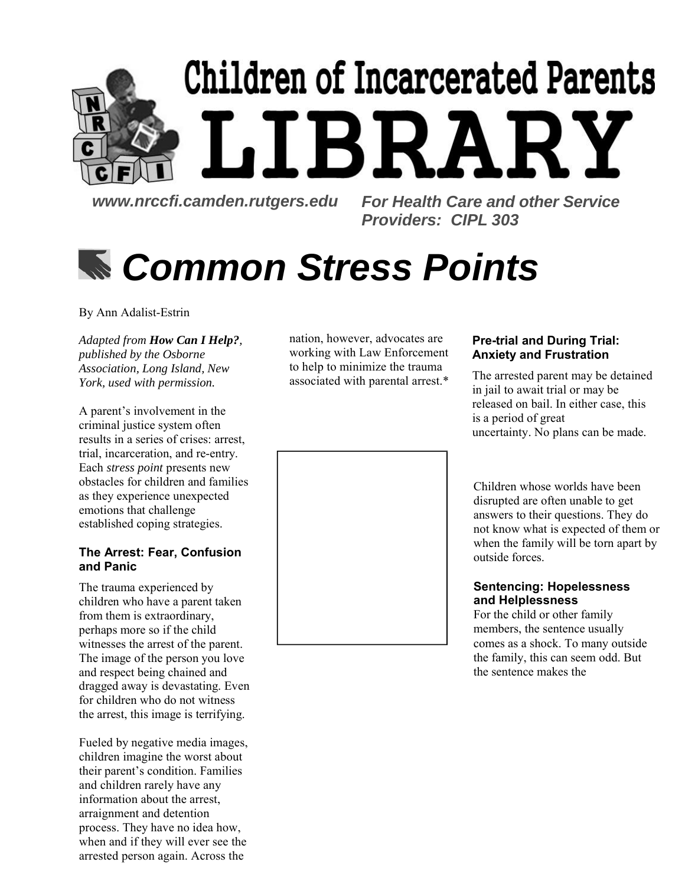# Children of Incarcerated Parents LIBRARY

*www.nrccfi.camden.rutgers.edu For Health Care and other Service Providers: CIPL 303*

## *Common Stress Points*

By Ann Adalist-Estrin

*Adapted from How Can I Help?, published by the Osborne Association, Long Island, New York, used with permission.*

A parent's involvement in the criminal justice system often results in a series of crises: arrest, trial, incarceration, and re-entry. Each *stress point* presents new obstacles for children and families as they experience unexpected emotions that challenge established coping strategies.

#### **The Arrest: Fear, Confusion and Panic**

The trauma experienced by children who have a parent taken from them is extraordinary, perhaps more so if the child witnesses the arrest of the parent. The image of the person you love and respect being chained and dragged away is devastating. Even for children who do not witness the arrest, this image is terrifying.

Fueled by negative media images, children imagine the worst about their parent's condition. Families and children rarely have any information about the arrest, arraignment and detention process. They have no idea how, when and if they will ever see the arrested person again. Across the

nation, however, advocates are working with Law Enforcement to help to minimize the trauma associated with parental arrest.\*



### **Pre-trial and During Trial: Anxiety and Frustration**

The arrested parent may be detained in jail to await trial or may be released on bail. In either case, this is a period of great uncertainty. No plans can be made.

Children whose worlds have been disrupted are often unable to get answers to their questions. They do not know what is expected of them or when the family will be torn apart by outside forces.

#### **Sentencing: Hopelessness and Helplessness**

For the child or other family members, the sentence usually comes as a shock. To many outside the family, this can seem odd. But the sentence makes the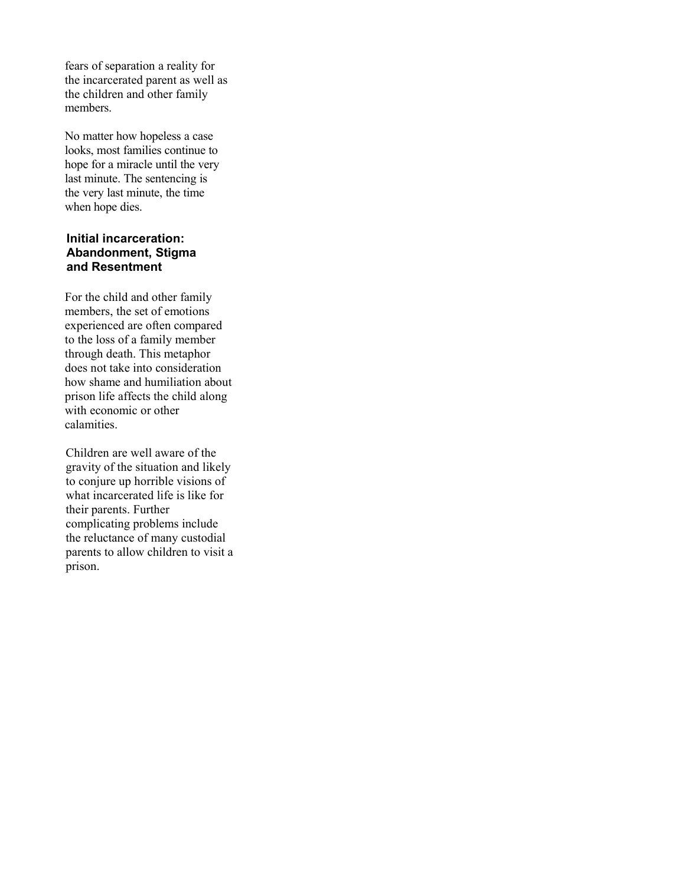fears of separation a reality for the incarcerated parent as well as the children and other family members.

No matter how hopeless a case looks, most families continue to hope for a miracle until the very last minute. The sentencing is the very last minute, the time when hope dies.

#### **Initial incarceration: Abandonment, Stigma and Resentment**

For the child and other family members, the set of emotions experienced are often compared to the loss of a family member through death. This metaphor does not take into consideration how shame and humiliation about prison life affects the child along with economic or other calamities.

Children are well aware of the gravity of the situation and likely to conjure up horrible visions of what incarcerated life is like for their parents. Further complicating problems include the reluctance of many custodial parents to allow children to visit a prison.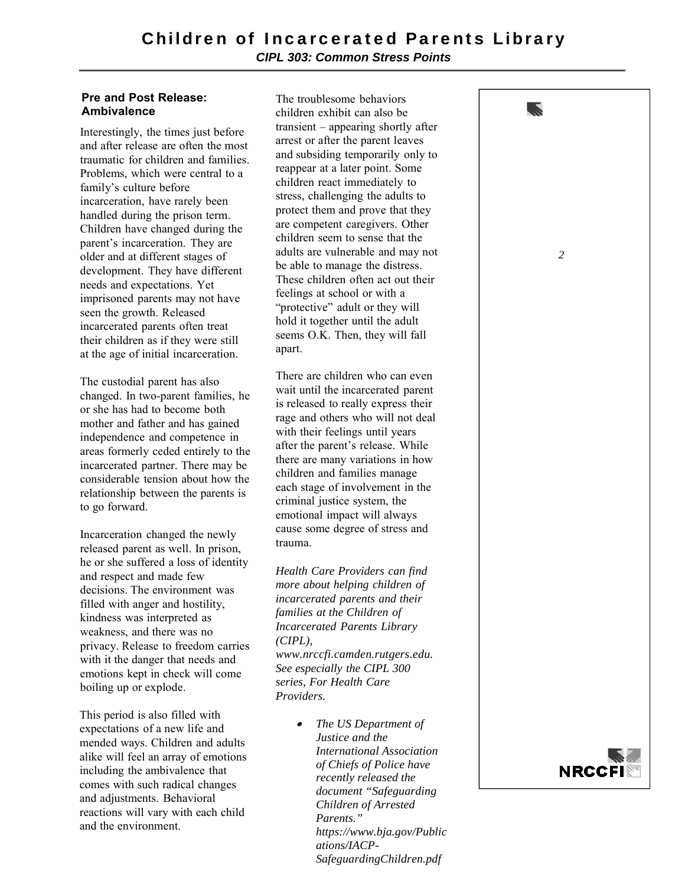#### **Pre and Post Release: Ambivalence**

Interestingly, the times just before and after release are often the most traumatic for children and families. Problems, which were central to a family's culture before incarceration, have rarely been handled during the prison term. Children have changed during the parent's incarceration. They are older and at different stages of development. They have different needs and expectations. Yet imprisoned parents may not have seen the growth. Released incarcerated parents often treat their children as if they were still at the age of initial incarceration.

The custodial parent has also changed. In two-parent families, he or she has had to become both mother and father and has gained independence and competence in areas formerly ceded entirely to the incarcerated partner. There may be considerable tension about how the relationship between the parents is to go forward.

Incarceration changed the newly released parent as well. In prison, he or she suffered a loss of identity and respect and made few decisions. The environment was filled with anger and hostility, kindness was interpreted as weakness, and there was no privacy. Release to freedom carries with it the danger that needs and emotions kept in check will come boiling up or explode.

This period is also filled with expectations of a new life and mended ways. Children and adults alike will feel an array of emotions including the ambivalence that comes with such radical changes and adjustments. Behavioral reactions will vary with each child and the environment.

The troublesome behaviors children exhibit can also be transient – appearing shortly after arrest or after the parent leaves and subsiding temporarily only to reappear at a later point. Some children react immediately to stress, challenging the adults to protect them and prove that they are competent caregivers. Other children seem to sense that the adults are vulnerable and may not be able to manage the distress. These children often act out their feelings at school or with a "protective" adult or they will hold it together until the adult seems O.K. Then, they will fall apart.

There are children who can even wait until the incarcerated parent is released to really express their rage and others who will not deal with their feelings until years after the parent's release. While there are many variations in how children and families manage each stage of involvement in the criminal justice system, the emotional impact will always cause some degree of stress and trauma.

*Health Care Providers can find more about helping children of incarcerated parents and their families at the Children of Incarcerated Parents Library (CIPL), www.nrccfi.camden.rutgers.edu. See especially the CIPL 300 series, For Health Care Providers.* 

> $\bullet$  *The US Department of Justice and the International Association of Chiefs of Police have recently released the document "Safeguarding Children of Arrested Parents." https://www.bja.gov/Public ations/IACP-SafeguardingChildren.pdf*